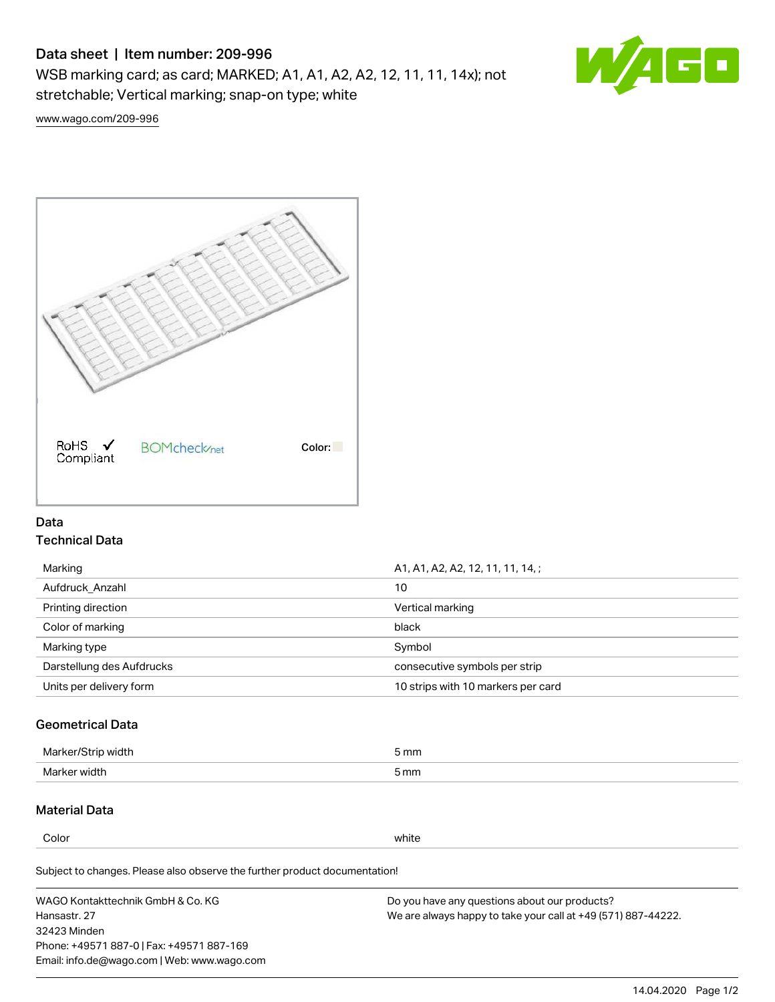# Data sheet | Item number: 209-996

WSB marking card; as card; MARKED; A1, A1, A2, A2, 12, 11, 11, 14x); not stretchable; Vertical marking; snap-on type; white



[www.wago.com/209-996](http://www.wago.com/209-996)



# Data Technical Data

| Marking                   | A1, A1, A2, A2, 12, 11, 11, 14, ;  |  |
|---------------------------|------------------------------------|--|
| Aufdruck Anzahl           | 10                                 |  |
| Printing direction        | Vertical marking                   |  |
| Color of marking          | black                              |  |
| Marking type              | Symbol                             |  |
| Darstellung des Aufdrucks | consecutive symbols per strip      |  |
| Units per delivery form   | 10 strips with 10 markers per card |  |

# Geometrical Data

| طلقاء ئ<br><b>Marker</b><br>widtr | ັກmm |
|-----------------------------------|------|
| Marker width                      | 5 mm |

# Material Data

Color white

Subject to changes. Please also observe the further product documentation!

WAGO Kontakttechnik GmbH & Co. KG Hansastr. 27 32423 Minden Phone: +49571 887-0 | Fax: +49571 887-169 Email: info.de@wago.com | Web: www.wago.com Do you have any questions about our products? We are always happy to take your call at +49 (571) 887-44222.